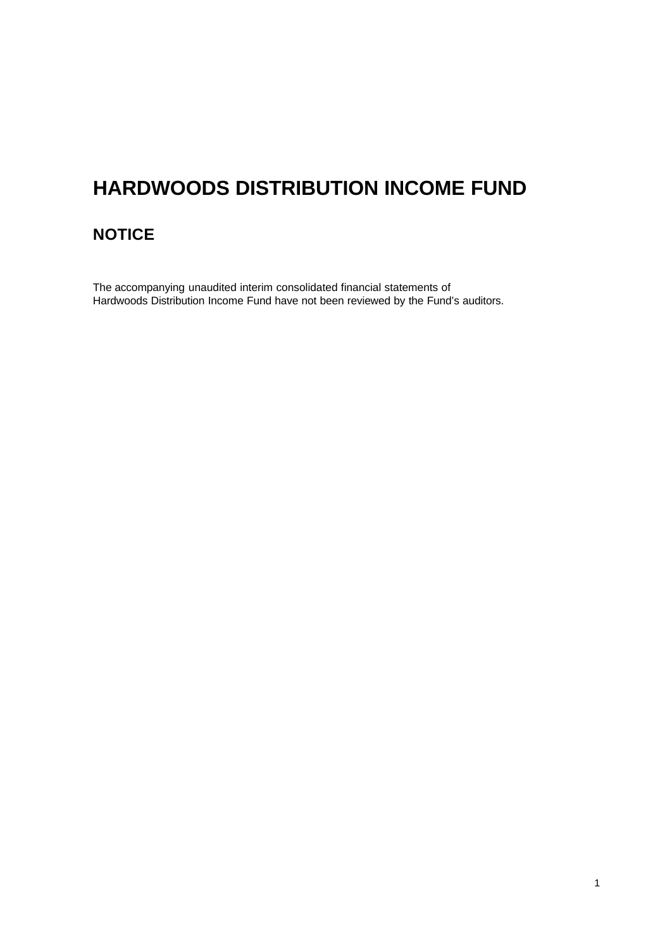### **NOTICE**

The accompanying unaudited interim consolidated financial statements of Hardwoods Distribution Income Fund have not been reviewed by the Fund's auditors.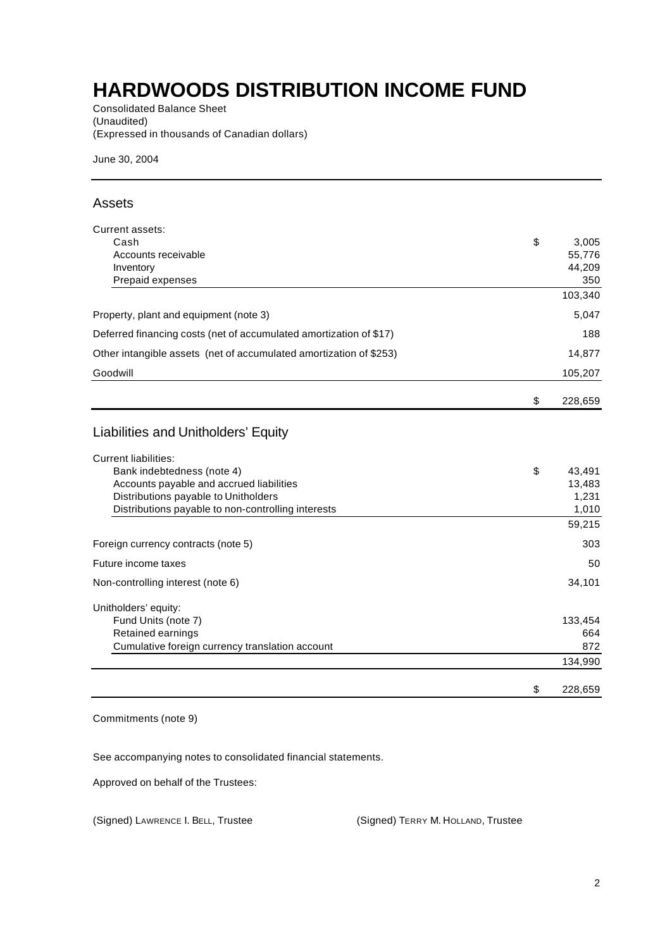Consolidated Balance Sheet (Unaudited) (Expressed in thousands of Canadian dollars)

June 30, 2004

### Assets

| Current assets:                                                    |               |
|--------------------------------------------------------------------|---------------|
| Cash                                                               | \$<br>3,005   |
| Accounts receivable                                                | 55,776        |
| Inventory                                                          | 44,209        |
| Prepaid expenses                                                   | 350           |
|                                                                    | 103,340       |
| Property, plant and equipment (note 3)                             | 5,047         |
| Deferred financing costs (net of accumulated amortization of \$17) | 188           |
| Other intangible assets (net of accumulated amortization of \$253) | 14,877        |
| Goodwill                                                           | 105,207       |
|                                                                    | \$<br>228,659 |
|                                                                    |               |
| Liabilities and Unitholders' Equity                                |               |
| <b>Current liabilities:</b>                                        |               |
| Bank indebtedness (note 4)                                         | \$<br>43,491  |
| Accounts payable and accrued liabilities                           | 13,483        |
| Distributions payable to Unitholders                               | 1,231         |
| Distributions payable to non-controlling interests                 | 1,010         |
|                                                                    | 59,215        |
| Foreign currency contracts (note 5)                                | 303           |
| Future income taxes                                                | 50            |
| Non-controlling interest (note 6)                                  | 34,101        |
| Unitholders' equity:                                               |               |
| Fund Units (note 7)                                                | 133,454       |
| Retained earnings                                                  | 664           |
| Cumulative foreign currency translation account                    | 872           |
|                                                                    | 134,990       |
|                                                                    | \$<br>228,659 |

Commitments (note 9)

See accompanying notes to consolidated financial statements.

Approved on behalf of the Trustees:

(Signed) LAWRENCE I. BELL, Trustee (Signed) TERRY M. HOLLAND, Trustee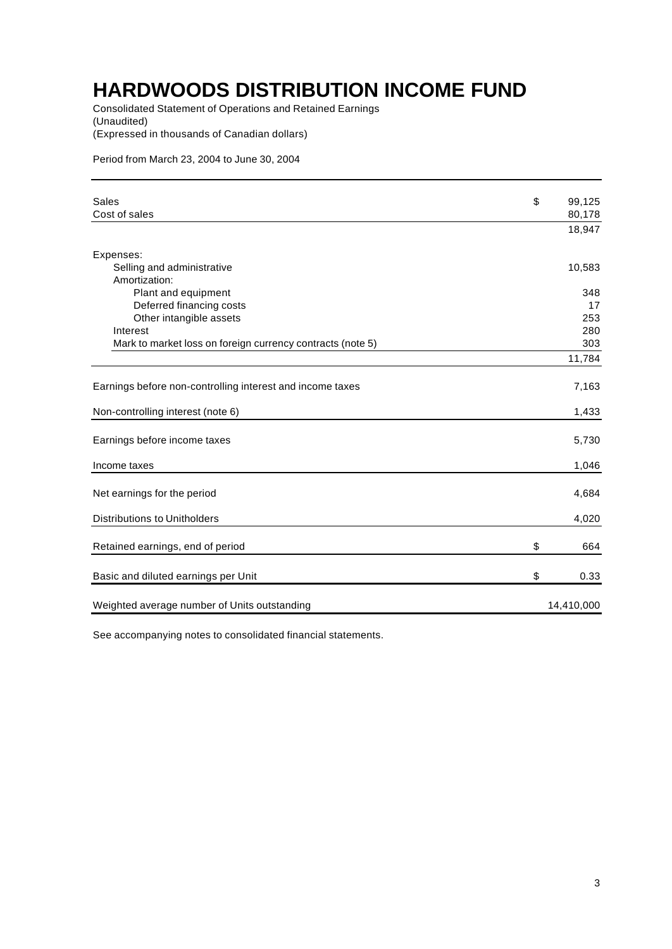Consolidated Statement of Operations and Retained Earnings (Unaudited) (Expressed in thousands of Canadian dollars)

Period from March 23, 2004 to June 30, 2004

| Sales                                                      | \$<br>99,125 |
|------------------------------------------------------------|--------------|
| Cost of sales                                              | 80,178       |
|                                                            | 18,947       |
| Expenses:                                                  |              |
| Selling and administrative                                 | 10,583       |
| Amortization:                                              |              |
| Plant and equipment                                        | 348          |
| Deferred financing costs                                   | 17           |
| Other intangible assets                                    | 253          |
| Interest                                                   | 280          |
| Mark to market loss on foreign currency contracts (note 5) | 303          |
|                                                            | 11,784       |
| Earnings before non-controlling interest and income taxes  | 7,163        |
| Non-controlling interest (note 6)                          | 1,433        |
| Earnings before income taxes                               | 5,730        |
| Income taxes                                               | 1,046        |
| Net earnings for the period                                | 4,684        |
| <b>Distributions to Unitholders</b>                        | 4,020        |
| Retained earnings, end of period                           | \$<br>664    |
| Basic and diluted earnings per Unit                        | \$<br>0.33   |
| Weighted average number of Units outstanding               | 14,410,000   |
|                                                            |              |

See accompanying notes to consolidated financial statements.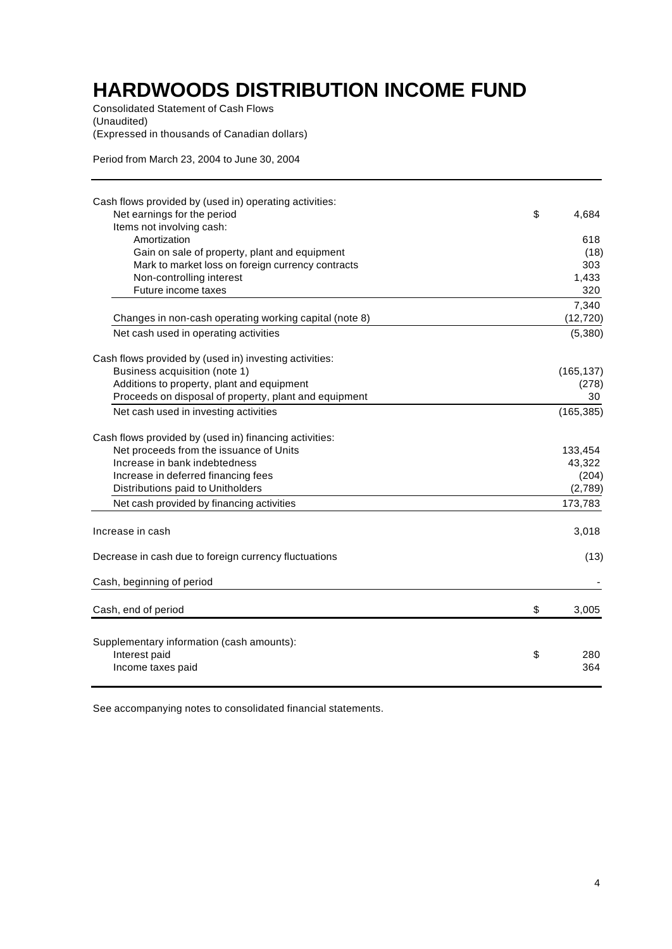Consolidated Statement of Cash Flows (Unaudited) (Expressed in thousands of Canadian dollars)

Period from March 23, 2004 to June 30, 2004

| Cash flows provided by (used in) operating activities:<br>Net earnings for the period | \$<br>4,684      |
|---------------------------------------------------------------------------------------|------------------|
| Items not involving cash:                                                             |                  |
| Amortization                                                                          | 618              |
| Gain on sale of property, plant and equipment                                         | (18)             |
| Mark to market loss on foreign currency contracts                                     | 303              |
| Non-controlling interest                                                              | 1,433            |
| Future income taxes                                                                   | 320              |
|                                                                                       | 7,340            |
| Changes in non-cash operating working capital (note 8)                                | (12, 720)        |
| Net cash used in operating activities                                                 | (5,380)          |
| Cash flows provided by (used in) investing activities:                                |                  |
| Business acquisition (note 1)                                                         | (165, 137)       |
| Additions to property, plant and equipment                                            | (278)            |
| Proceeds on disposal of property, plant and equipment                                 | 30               |
| Net cash used in investing activities                                                 | (165, 385)       |
| Cash flows provided by (used in) financing activities:                                |                  |
| Net proceeds from the issuance of Units                                               | 133,454          |
| Increase in bank indebtedness                                                         | 43,322           |
| Increase in deferred financing fees                                                   | (204)            |
| Distributions paid to Unitholders                                                     | (2,789)          |
| Net cash provided by financing activities                                             | 173,783          |
| Increase in cash                                                                      | 3,018            |
| Decrease in cash due to foreign currency fluctuations                                 | (13)             |
| Cash, beginning of period                                                             |                  |
| Cash, end of period                                                                   | \$<br>3,005      |
|                                                                                       |                  |
| Supplementary information (cash amounts):<br>Interest paid<br>Income taxes paid       | \$<br>280<br>364 |

See accompanying notes to consolidated financial statements.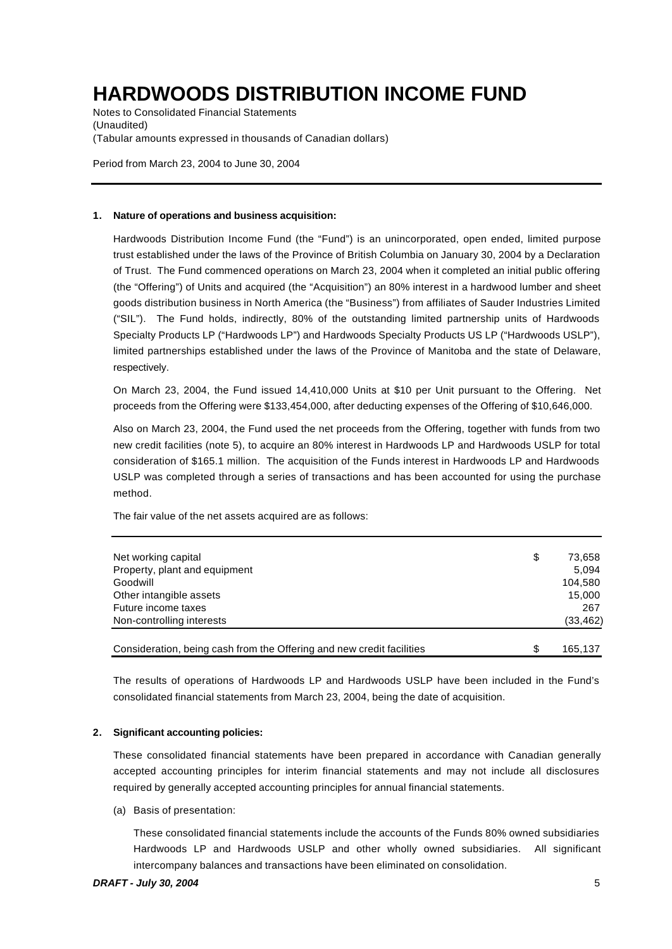Notes to Consolidated Financial Statements (Unaudited) (Tabular amounts expressed in thousands of Canadian dollars)

Period from March 23, 2004 to June 30, 2004

#### **1. Nature of operations and business acquisition:**

Hardwoods Distribution Income Fund (the "Fund") is an unincorporated, open ended, limited purpose trust established under the laws of the Province of British Columbia on January 30, 2004 by a Declaration of Trust. The Fund commenced operations on March 23, 2004 when it completed an initial public offering (the "Offering") of Units and acquired (the "Acquisition") an 80% interest in a hardwood lumber and sheet goods distribution business in North America (the "Business") from affiliates of Sauder Industries Limited ("SIL"). The Fund holds, indirectly, 80% of the outstanding limited partnership units of Hardwoods Specialty Products LP ("Hardwoods LP") and Hardwoods Specialty Products US LP ("Hardwoods USLP"), limited partnerships established under the laws of the Province of Manitoba and the state of Delaware, respectively.

On March 23, 2004, the Fund issued 14,410,000 Units at \$10 per Unit pursuant to the Offering. Net proceeds from the Offering were \$133,454,000, after deducting expenses of the Offering of \$10,646,000.

Also on March 23, 2004, the Fund used the net proceeds from the Offering, together with funds from two new credit facilities (note 5), to acquire an 80% interest in Hardwoods LP and Hardwoods USLP for total consideration of \$165.1 million. The acquisition of the Funds interest in Hardwoods LP and Hardwoods USLP was completed through a series of transactions and has been accounted for using the purchase method.

The fair value of the net assets acquired are as follows:

| Net working capital                                                   | \$<br>73.658  |
|-----------------------------------------------------------------------|---------------|
| Property, plant and equipment                                         | 5.094         |
| Goodwill                                                              | 104.580       |
| Other intangible assets                                               | 15.000        |
| Future income taxes                                                   | 267           |
| Non-controlling interests                                             | (33, 462)     |
| Consideration, being cash from the Offering and new credit facilities | \$<br>165.137 |

The results of operations of Hardwoods LP and Hardwoods USLP have been included in the Fund's consolidated financial statements from March 23, 2004, being the date of acquisition.

#### **2. Significant accounting policies:**

These consolidated financial statements have been prepared in accordance with Canadian generally accepted accounting principles for interim financial statements and may not include all disclosures required by generally accepted accounting principles for annual financial statements.

(a) Basis of presentation:

These consolidated financial statements include the accounts of the Funds 80% owned subsidiaries Hardwoods LP and Hardwoods USLP and other wholly owned subsidiaries. All significant intercompany balances and transactions have been eliminated on consolidation.

### *DRAFT - July 30, 2004* 5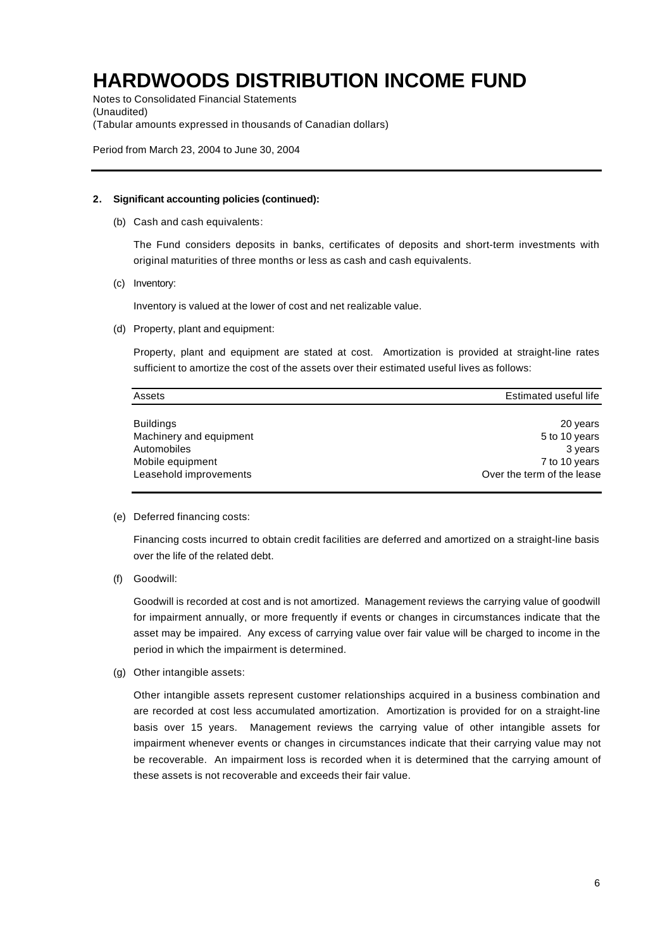Notes to Consolidated Financial Statements (Unaudited) (Tabular amounts expressed in thousands of Canadian dollars)

Period from March 23, 2004 to June 30, 2004

#### **2. Significant accounting policies (continued):**

(b) Cash and cash equivalents:

The Fund considers deposits in banks, certificates of deposits and short-term investments with original maturities of three months or less as cash and cash equivalents.

(c) Inventory:

Inventory is valued at the lower of cost and net realizable value.

(d) Property, plant and equipment:

Property, plant and equipment are stated at cost. Amortization is provided at straight-line rates sufficient to amortize the cost of the assets over their estimated useful lives as follows:

| Assets                  | Estimated useful life      |
|-------------------------|----------------------------|
| <b>Buildings</b>        | 20 years                   |
| Machinery and equipment | 5 to 10 years              |
| Automobiles             | 3 years                    |
| Mobile equipment        | 7 to 10 years              |
| Leasehold improvements  | Over the term of the lease |

(e) Deferred financing costs:

Financing costs incurred to obtain credit facilities are deferred and amortized on a straight-line basis over the life of the related debt.

(f) Goodwill:

Goodwill is recorded at cost and is not amortized. Management reviews the carrying value of goodwill for impairment annually, or more frequently if events or changes in circumstances indicate that the asset may be impaired. Any excess of carrying value over fair value will be charged to income in the period in which the impairment is determined.

(g) Other intangible assets:

Other intangible assets represent customer relationships acquired in a business combination and are recorded at cost less accumulated amortization. Amortization is provided for on a straight-line basis over 15 years. Management reviews the carrying value of other intangible assets for impairment whenever events or changes in circumstances indicate that their carrying value may not be recoverable. An impairment loss is recorded when it is determined that the carrying amount of these assets is not recoverable and exceeds their fair value.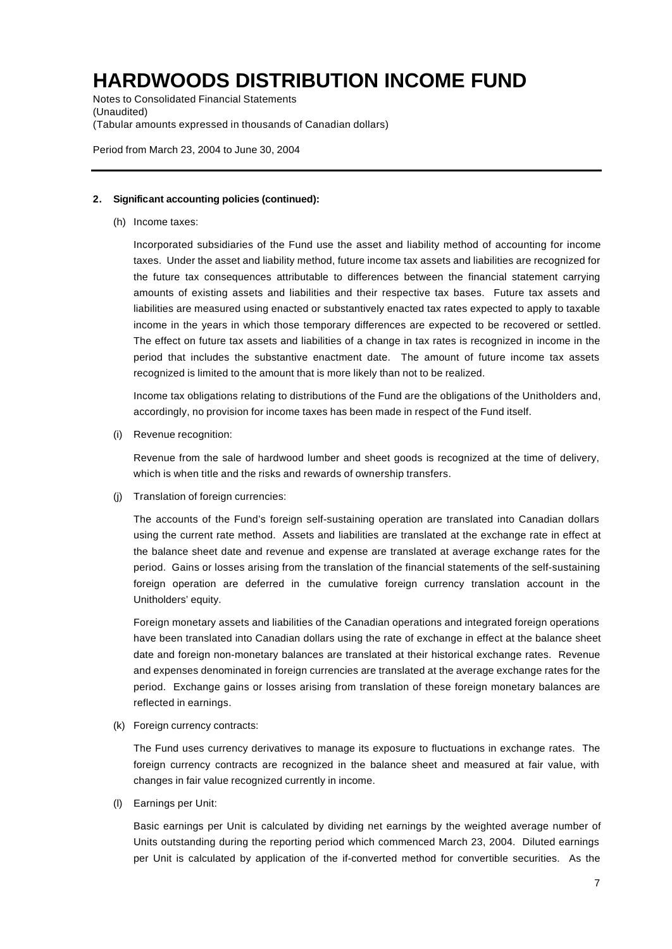Notes to Consolidated Financial Statements (Unaudited) (Tabular amounts expressed in thousands of Canadian dollars)

Period from March 23, 2004 to June 30, 2004

#### **2. Significant accounting policies (continued):**

(h) Income taxes:

Incorporated subsidiaries of the Fund use the asset and liability method of accounting for income taxes. Under the asset and liability method, future income tax assets and liabilities are recognized for the future tax consequences attributable to differences between the financial statement carrying amounts of existing assets and liabilities and their respective tax bases. Future tax assets and liabilities are measured using enacted or substantively enacted tax rates expected to apply to taxable income in the years in which those temporary differences are expected to be recovered or settled. The effect on future tax assets and liabilities of a change in tax rates is recognized in income in the period that includes the substantive enactment date. The amount of future income tax assets recognized is limited to the amount that is more likely than not to be realized.

Income tax obligations relating to distributions of the Fund are the obligations of the Unitholders and, accordingly, no provision for income taxes has been made in respect of the Fund itself.

(i) Revenue recognition:

Revenue from the sale of hardwood lumber and sheet goods is recognized at the time of delivery, which is when title and the risks and rewards of ownership transfers.

(j) Translation of foreign currencies:

The accounts of the Fund's foreign self-sustaining operation are translated into Canadian dollars using the current rate method. Assets and liabilities are translated at the exchange rate in effect at the balance sheet date and revenue and expense are translated at average exchange rates for the period. Gains or losses arising from the translation of the financial statements of the self-sustaining foreign operation are deferred in the cumulative foreign currency translation account in the Unitholders' equity.

Foreign monetary assets and liabilities of the Canadian operations and integrated foreign operations have been translated into Canadian dollars using the rate of exchange in effect at the balance sheet date and foreign non-monetary balances are translated at their historical exchange rates. Revenue and expenses denominated in foreign currencies are translated at the average exchange rates for the period. Exchange gains or losses arising from translation of these foreign monetary balances are reflected in earnings.

(k) Foreign currency contracts:

The Fund uses currency derivatives to manage its exposure to fluctuations in exchange rates. The foreign currency contracts are recognized in the balance sheet and measured at fair value, with changes in fair value recognized currently in income.

(l) Earnings per Unit:

Basic earnings per Unit is calculated by dividing net earnings by the weighted average number of Units outstanding during the reporting period which commenced March 23, 2004. Diluted earnings per Unit is calculated by application of the if-converted method for convertible securities. As the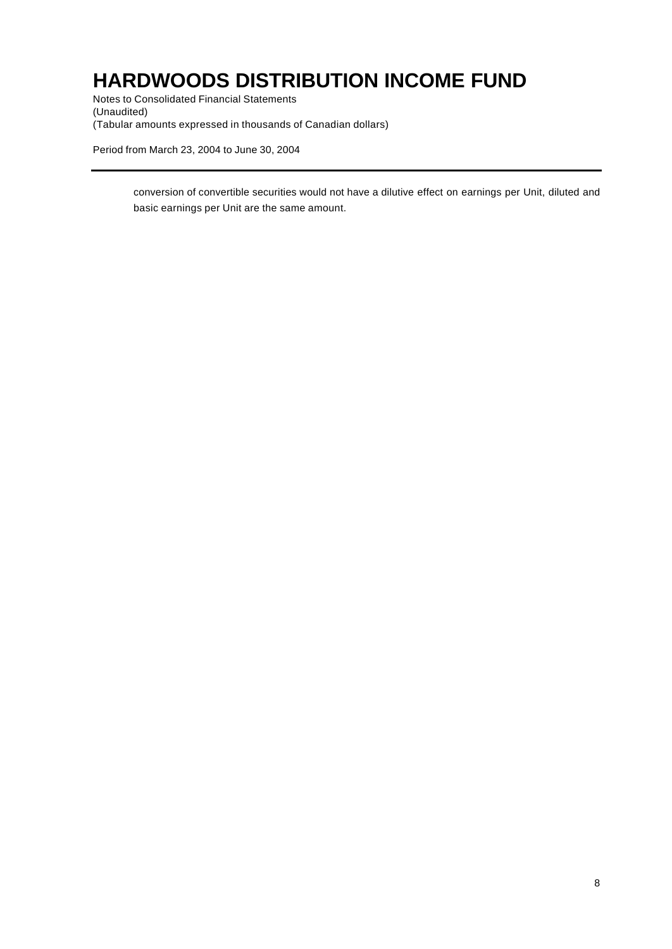Notes to Consolidated Financial Statements (Unaudited) (Tabular amounts expressed in thousands of Canadian dollars)

Period from March 23, 2004 to June 30, 2004

conversion of convertible securities would not have a dilutive effect on earnings per Unit, diluted and basic earnings per Unit are the same amount.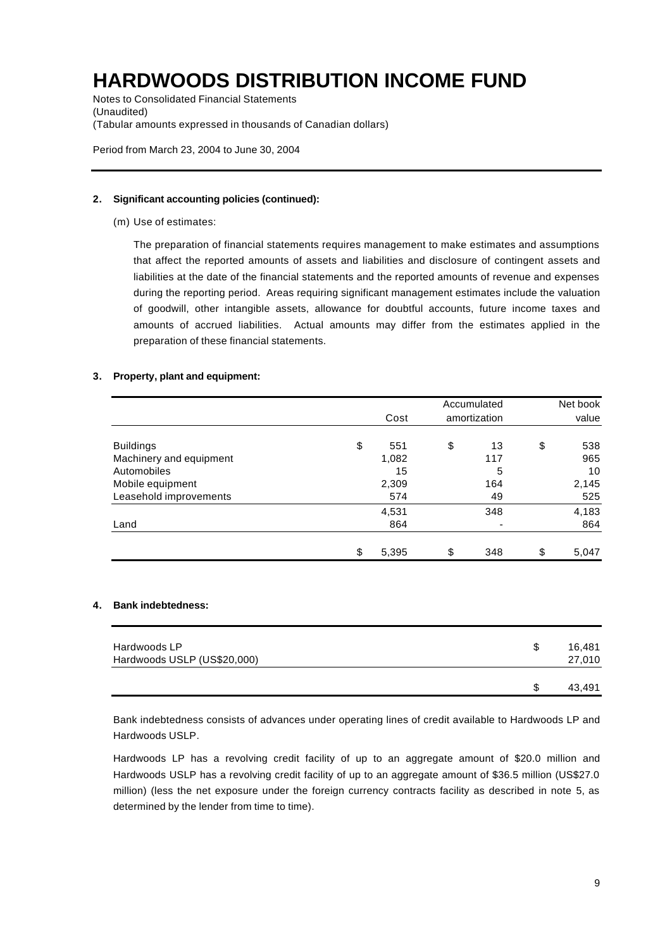Notes to Consolidated Financial Statements (Unaudited) (Tabular amounts expressed in thousands of Canadian dollars)

Period from March 23, 2004 to June 30, 2004

#### **2. Significant accounting policies (continued):**

(m) Use of estimates:

The preparation of financial statements requires management to make estimates and assumptions that affect the reported amounts of assets and liabilities and disclosure of contingent assets and liabilities at the date of the financial statements and the reported amounts of revenue and expenses during the reporting period. Areas requiring significant management estimates include the valuation of goodwill, other intangible assets, allowance for doubtful accounts, future income taxes and amounts of accrued liabilities. Actual amounts may differ from the estimates applied in the preparation of these financial statements.

### **3. Property, plant and equipment:**

|                         |             | Accumulated  | Net book    |
|-------------------------|-------------|--------------|-------------|
|                         | Cost        | amortization | value       |
| <b>Buildings</b>        | \$<br>551   | \$<br>13     | \$<br>538   |
| Machinery and equipment | 1,082       | 117          | 965         |
| Automobiles             | 15          | 5            | 10          |
| Mobile equipment        | 2,309       | 164          | 2,145       |
| Leasehold improvements  | 574         | 49           | 525         |
|                         | 4,531       | 348          | 4,183       |
| Land                    | 864         |              | 864         |
|                         | \$<br>5,395 | \$<br>348    | \$<br>5,047 |

#### **4. Bank indebtedness:**

| Hardwoods LP<br>Hardwoods USLP (US\$20,000) | S | 16.481<br>27,010 |
|---------------------------------------------|---|------------------|
|                                             |   | 43,491           |

Bank indebtedness consists of advances under operating lines of credit available to Hardwoods LP and Hardwoods USLP.

Hardwoods LP has a revolving credit facility of up to an aggregate amount of \$20.0 million and Hardwoods USLP has a revolving credit facility of up to an aggregate amount of \$36.5 million (US\$27.0 million) (less the net exposure under the foreign currency contracts facility as described in note 5, as determined by the lender from time to time).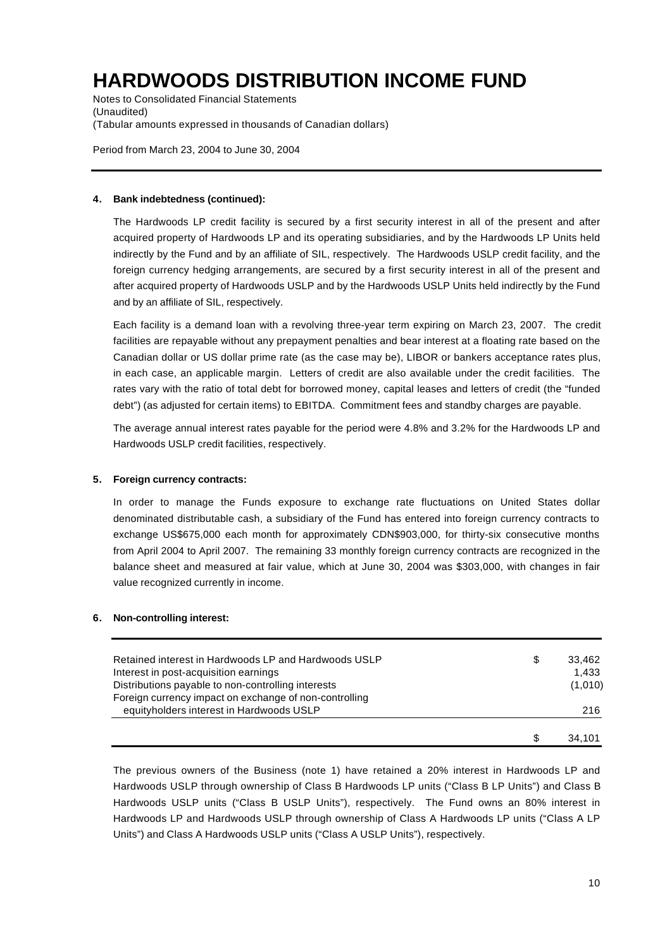Notes to Consolidated Financial Statements (Unaudited) (Tabular amounts expressed in thousands of Canadian dollars)

Period from March 23, 2004 to June 30, 2004

### **4. Bank indebtedness (continued):**

The Hardwoods LP credit facility is secured by a first security interest in all of the present and after acquired property of Hardwoods LP and its operating subsidiaries, and by the Hardwoods LP Units held indirectly by the Fund and by an affiliate of SIL, respectively. The Hardwoods USLP credit facility, and the foreign currency hedging arrangements, are secured by a first security interest in all of the present and after acquired property of Hardwoods USLP and by the Hardwoods USLP Units held indirectly by the Fund and by an affiliate of SIL, respectively.

Each facility is a demand loan with a revolving three-year term expiring on March 23, 2007. The credit facilities are repayable without any prepayment penalties and bear interest at a floating rate based on the Canadian dollar or US dollar prime rate (as the case may be), LIBOR or bankers acceptance rates plus, in each case, an applicable margin. Letters of credit are also available under the credit facilities. The rates vary with the ratio of total debt for borrowed money, capital leases and letters of credit (the "funded debt") (as adjusted for certain items) to EBITDA. Commitment fees and standby charges are payable.

The average annual interest rates payable for the period were 4.8% and 3.2% for the Hardwoods LP and Hardwoods USLP credit facilities, respectively.

### **5. Foreign currency contracts:**

In order to manage the Funds exposure to exchange rate fluctuations on United States dollar denominated distributable cash, a subsidiary of the Fund has entered into foreign currency contracts to exchange US\$675,000 each month for approximately CDN\$903,000, for thirty-six consecutive months from April 2004 to April 2007. The remaining 33 monthly foreign currency contracts are recognized in the balance sheet and measured at fair value, which at June 30, 2004 was \$303,000, with changes in fair value recognized currently in income.

### **6. Non-controlling interest:**

| Retained interest in Hardwoods LP and Hardwoods USLP   | \$ | 33.462  |
|--------------------------------------------------------|----|---------|
| Interest in post-acquisition earnings                  |    | 1.433   |
| Distributions payable to non-controlling interests     |    | (1,010) |
| Foreign currency impact on exchange of non-controlling |    |         |
| equityholders interest in Hardwoods USLP               |    | 216     |
|                                                        |    |         |
|                                                        | S  | 34.101  |

The previous owners of the Business (note 1) have retained a 20% interest in Hardwoods LP and Hardwoods USLP through ownership of Class B Hardwoods LP units ("Class B LP Units") and Class B Hardwoods USLP units ("Class B USLP Units"), respectively. The Fund owns an 80% interest in Hardwoods LP and Hardwoods USLP through ownership of Class A Hardwoods LP units ("Class A LP Units") and Class A Hardwoods USLP units ("Class A USLP Units"), respectively.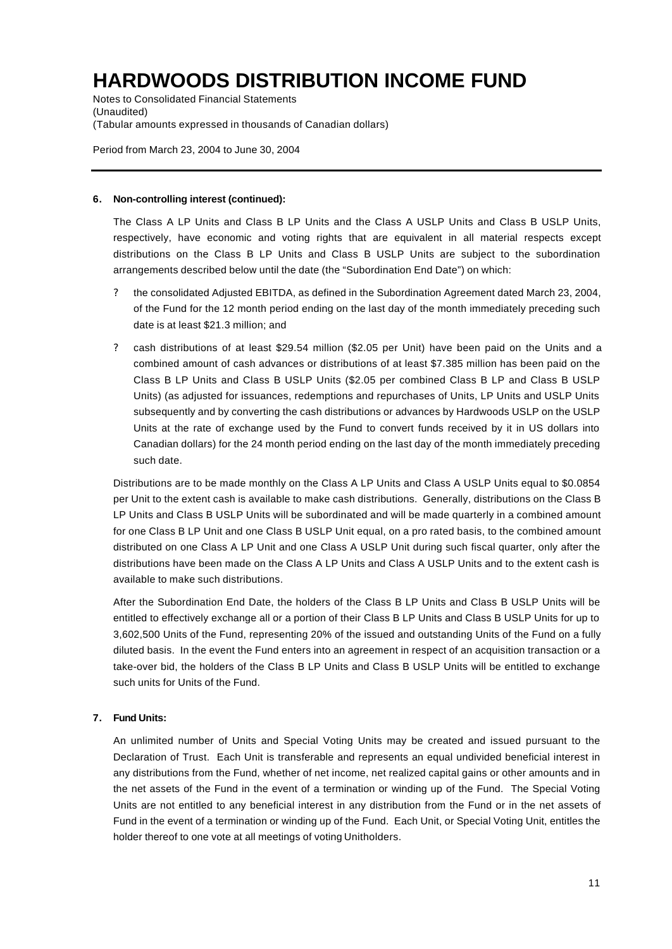Notes to Consolidated Financial Statements (Unaudited) (Tabular amounts expressed in thousands of Canadian dollars)

Period from March 23, 2004 to June 30, 2004

#### **6. Non-controlling interest (continued):**

The Class A LP Units and Class B LP Units and the Class A USLP Units and Class B USLP Units, respectively, have economic and voting rights that are equivalent in all material respects except distributions on the Class B LP Units and Class B USLP Units are subject to the subordination arrangements described below until the date (the "Subordination End Date") on which:

- ? the consolidated Adjusted EBITDA, as defined in the Subordination Agreement dated March 23, 2004, of the Fund for the 12 month period ending on the last day of the month immediately preceding such date is at least \$21.3 million; and
- ? cash distributions of at least \$29.54 million (\$2.05 per Unit) have been paid on the Units and a combined amount of cash advances or distributions of at least \$7.385 million has been paid on the Class B LP Units and Class B USLP Units (\$2.05 per combined Class B LP and Class B USLP Units) (as adjusted for issuances, redemptions and repurchases of Units, LP Units and USLP Units subsequently and by converting the cash distributions or advances by Hardwoods USLP on the USLP Units at the rate of exchange used by the Fund to convert funds received by it in US dollars into Canadian dollars) for the 24 month period ending on the last day of the month immediately preceding such date.

Distributions are to be made monthly on the Class A LP Units and Class A USLP Units equal to \$0.0854 per Unit to the extent cash is available to make cash distributions. Generally, distributions on the Class B LP Units and Class B USLP Units will be subordinated and will be made quarterly in a combined amount for one Class B LP Unit and one Class B USLP Unit equal, on a pro rated basis, to the combined amount distributed on one Class A LP Unit and one Class A USLP Unit during such fiscal quarter, only after the distributions have been made on the Class A LP Units and Class A USLP Units and to the extent cash is available to make such distributions.

After the Subordination End Date, the holders of the Class B LP Units and Class B USLP Units will be entitled to effectively exchange all or a portion of their Class B LP Units and Class B USLP Units for up to 3,602,500 Units of the Fund, representing 20% of the issued and outstanding Units of the Fund on a fully diluted basis. In the event the Fund enters into an agreement in respect of an acquisition transaction or a take-over bid, the holders of the Class B LP Units and Class B USLP Units will be entitled to exchange such units for Units of the Fund.

### **7. Fund Units:**

An unlimited number of Units and Special Voting Units may be created and issued pursuant to the Declaration of Trust. Each Unit is transferable and represents an equal undivided beneficial interest in any distributions from the Fund, whether of net income, net realized capital gains or other amounts and in the net assets of the Fund in the event of a termination or winding up of the Fund. The Special Voting Units are not entitled to any beneficial interest in any distribution from the Fund or in the net assets of Fund in the event of a termination or winding up of the Fund. Each Unit, or Special Voting Unit, entitles the holder thereof to one vote at all meetings of voting Unitholders.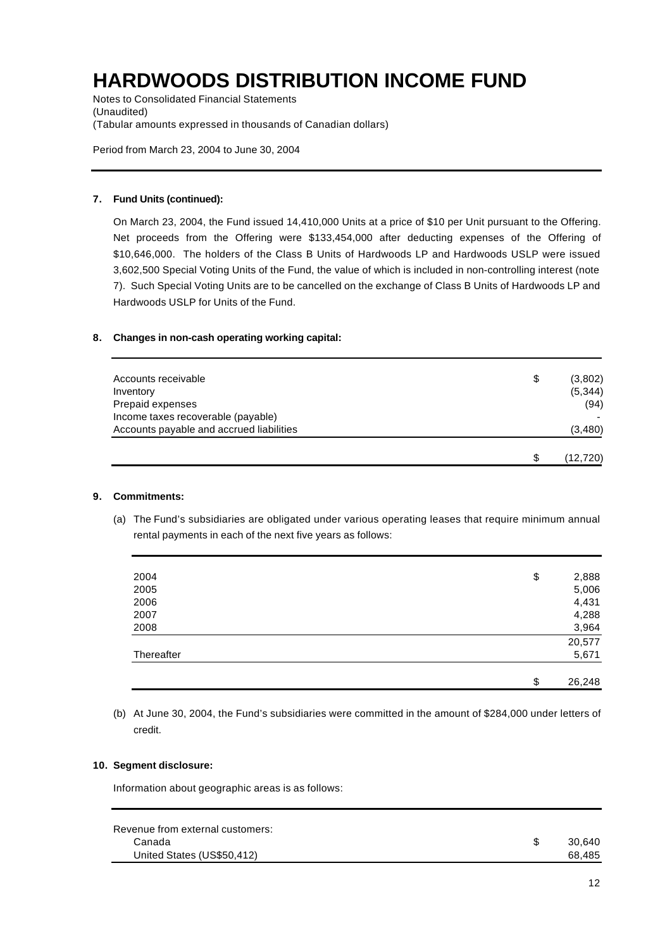Notes to Consolidated Financial Statements (Unaudited) (Tabular amounts expressed in thousands of Canadian dollars)

Period from March 23, 2004 to June 30, 2004

### **7. Fund Units (continued):**

On March 23, 2004, the Fund issued 14,410,000 Units at a price of \$10 per Unit pursuant to the Offering. Net proceeds from the Offering were \$133,454,000 after deducting expenses of the Offering of \$10,646,000. The holders of the Class B Units of Hardwoods LP and Hardwoods USLP were issued 3,602,500 Special Voting Units of the Fund, the value of which is included in non-controlling interest (note 7). Such Special Voting Units are to be cancelled on the exchange of Class B Units of Hardwoods LP and Hardwoods USLP for Units of the Fund.

### **8. Changes in non-cash operating working capital:**

| Accounts receivable<br>Inventory<br>Prepaid expenses                           | \$ | (3,802)<br>(5, 344)<br>(94) |
|--------------------------------------------------------------------------------|----|-----------------------------|
| Income taxes recoverable (payable)<br>Accounts payable and accrued liabilities |    | (3,480)                     |
|                                                                                | S  | (12, 720)                   |

### **9. Commitments:**

(a) The Fund's subsidiaries are obligated under various operating leases that require minimum annual rental payments in each of the next five years as follows:

| 2004       | \$<br>2,888  |
|------------|--------------|
| 2005       | 5,006        |
| 2006       | 4,431        |
| 2007       | 4,288        |
| 2008       | 3,964        |
|            | 20,577       |
| Thereafter | 5,671        |
|            |              |
|            | \$<br>26,248 |

(b) At June 30, 2004, the Fund's subsidiaries were committed in the amount of \$284,000 under letters of credit.

### **10. Segment disclosure:**

Information about geographic areas is as follows:

| Revenue from external customers: |        |
|----------------------------------|--------|
| Canada                           | 30.640 |
| United States (US\$50,412)       | 68.485 |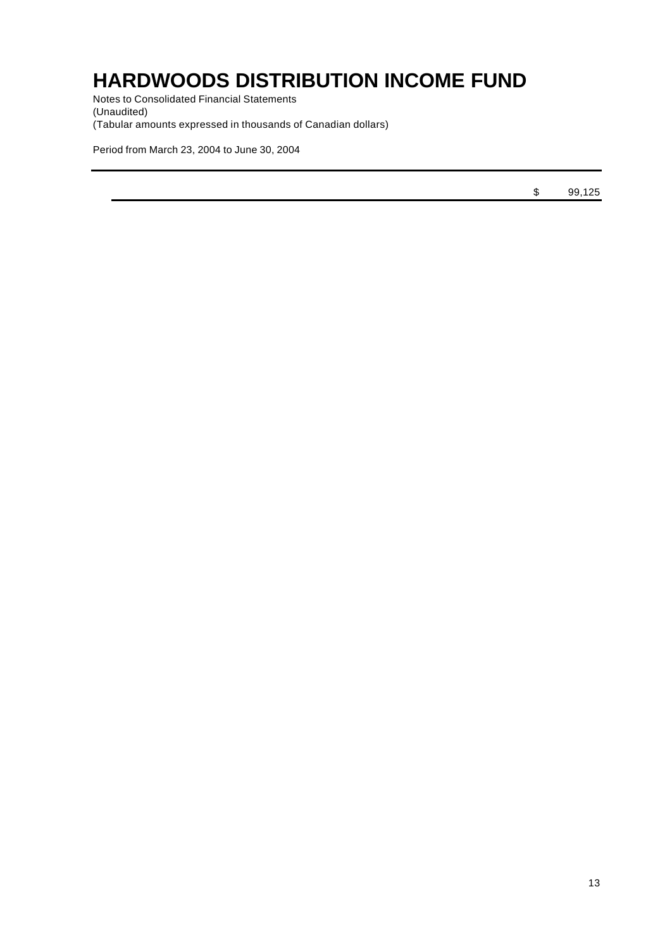Notes to Consolidated Financial Statements (Unaudited) (Tabular amounts expressed in thousands of Canadian dollars)

Period from March 23, 2004 to June 30, 2004

\$ 99,125